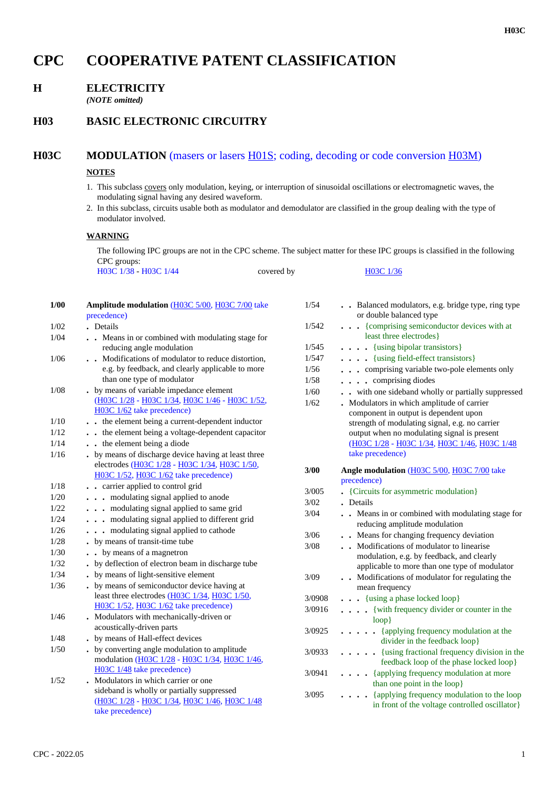# **CPC COOPERATIVE PATENT CLASSIFICATION**

## **H ELECTRICITY**

*(NOTE omitted)*

## **H03 BASIC ELECTRONIC CIRCUITRY**

### **H03C MODULATION** (masers or lasers H01S; coding, decoding or code conversion H03M)

#### **NOTES**

- 1. This subclass covers only modulation, keying, or interruption of sinusoidal oscillations or electromagnetic waves, the modulating signal having any desired waveform.
- 2. In this subclass, circuits usable both as modulator and demodulator are classified in the group dealing with the type of modulator involved.

#### **WARNING**

The following IPC groups are not in the CPC scheme. The subject matter for these IPC groups is classified in the following CPC groups: H03C 1/38 - H03C 1/44 covered by H03C 1/36

| 1/00 | Amplitude modulation (H03C 5/00, H03C 7/00 take<br>precedence)                                                                                             |
|------|------------------------------------------------------------------------------------------------------------------------------------------------------------|
| 1/02 | Details<br>$\overline{\phantom{a}}$                                                                                                                        |
| 1/04 | . Means in or combined with modulating stage for                                                                                                           |
|      | reducing angle modulation                                                                                                                                  |
| 1/06 | Modifications of modulator to reduce distortion,<br>$\ddot{\phantom{0}}$<br>e.g. by feedback, and clearly applicable to more<br>than one type of modulator |
| 1/08 | . by means of variable impedance element<br>(H03C 1/28 - H03C 1/34, H03C 1/46 - H03C 1/52,<br>H03C 1/62 take precedence)                                   |
| 1/10 | . the element being a current-dependent inductor                                                                                                           |
| 1/12 | . the element being a voltage-dependent capacitor                                                                                                          |
| 1/14 | . the element being a diode                                                                                                                                |
| 1/16 | by means of discharge device having at least three<br>electrodes (H03C 1/28 - H03C 1/34, H03C 1/50,<br>H03C 1/52, H03C 1/62 take precedence)               |
| 1/18 | carrier applied to control grid                                                                                                                            |
| 1/20 | modulating signal applied to anode<br>$\ddot{\phantom{0}}$                                                                                                 |
| 1/22 | . modulating signal applied to same grid                                                                                                                   |
| 1/24 | . modulating signal applied to different grid                                                                                                              |
| 1/26 | modulating signal applied to cathode<br>$\ddot{\phantom{a}}$                                                                                               |
| 1/28 | by means of transit-time tube                                                                                                                              |
| 1/30 | • by means of a magnetron                                                                                                                                  |
| 1/32 | by deflection of electron beam in discharge tube                                                                                                           |
| 1/34 | by means of light-sensitive element                                                                                                                        |
| 1/36 | by means of semiconductor device having at<br>least three electrodes (H03C 1/34, H03C 1/50,<br>H03C 1/52, H03C 1/62 take precedence)                       |
| 1/46 | Modulators with mechanically-driven or                                                                                                                     |
|      | acoustically-driven parts                                                                                                                                  |
| 1/48 | by means of Hall-effect devices                                                                                                                            |
| 1/50 | by converting angle modulation to amplitude<br>$\ddot{\phantom{0}}$<br>modulation (H03C 1/28 - H03C 1/34, H03C 1/46,<br>H03C 1/48 take precedence)         |
| 1/52 | Modulators in which carrier or one<br>sideband is wholly or partially suppressed<br>(H03C 1/28 - H03C 1/34, H03C 1/46, H03C 1/48<br>take precedence)       |

| 1/54   | . Balanced modulators, e.g. bridge type, ring type<br>or double balanced type                |
|--------|----------------------------------------------------------------------------------------------|
| 1/542  | {comprising semiconductor devices with at<br>least three electrodes}                         |
| 1/545  | {using bipolar transistors}<br>$\bullet$                                                     |
| 1/547  | {using field-effect transistors}                                                             |
| 1/56   | comprising variable two-pole elements only                                                   |
| 1/58   | comprising diodes                                                                            |
| 1/60   | with one sideband wholly or partially suppressed                                             |
| 1/62   | Modulators in which amplitude of carrier                                                     |
|        | component in output is dependent upon                                                        |
|        | strength of modulating signal, e.g. no carrier                                               |
|        | output when no modulating signal is present                                                  |
|        | (H03C 1/28 - H03C 1/34, H03C 1/46, H03C 1/48                                                 |
|        | take precedence)                                                                             |
| 3/00   | Angle modulation (H03C 5/00, H03C 7/00 take<br>precedence)                                   |
| 3/005  | {Circuits for asymmetric modulation}                                                         |
| 3/02   | Details                                                                                      |
| 3/04   | . Means in or combined with modulating stage for                                             |
|        | reducing amplitude modulation                                                                |
| 3/06   | . Means for changing frequency deviation                                                     |
| 3/08   | . Modifications of modulator to linearise                                                    |
|        | modulation, e.g. by feedback, and clearly                                                    |
|        | applicable to more than one type of modulator                                                |
| 3/09   | Modifications of modulator for regulating the<br>$\ddot{\phantom{a}}$<br>mean frequency      |
| 3/0908 | {using a phase locked loop}                                                                  |
| 3/0916 | {with frequency divider or counter in the<br>$\ddot{\phantom{a}}$                            |
|        | $loop$ }                                                                                     |
| 3/0925 | {applying frequency modulation at the<br>divider in the feedback loop}                       |
| 3/0933 | {using fractional frequency division in the<br>feedback loop of the phase locked loop}       |
| 3/0941 | {applying frequency modulation at more<br>than one point in the loop}                        |
| 3/095  | {applying frequency modulation to the loop<br>in front of the voltage controlled oscillator} |
|        |                                                                                              |